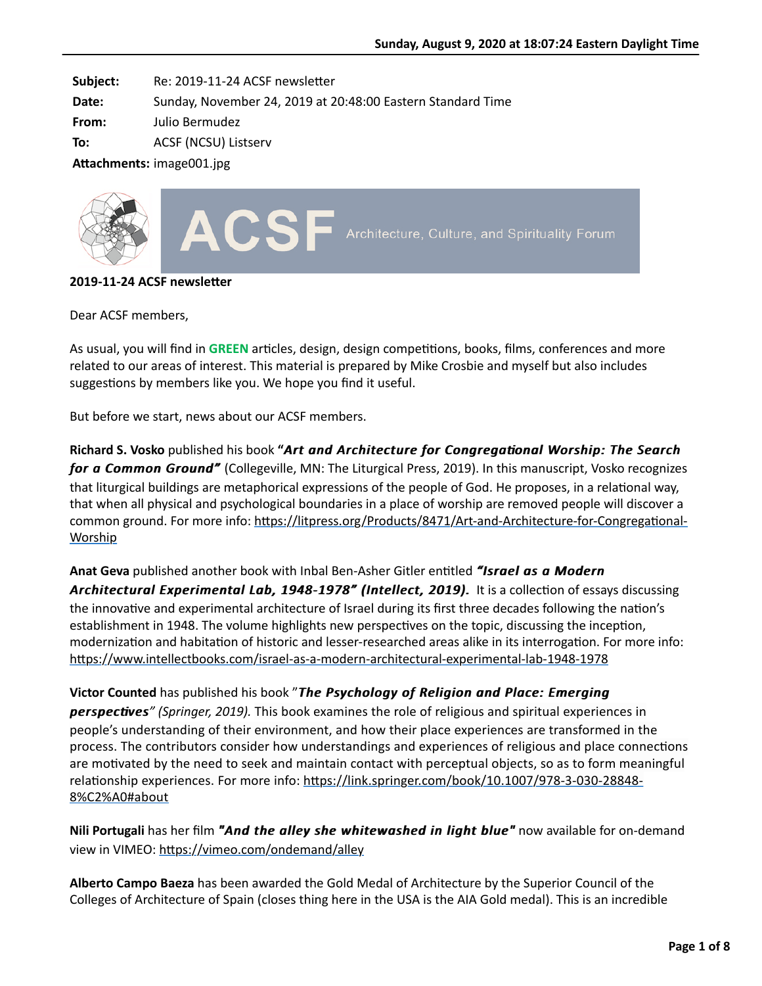**Subject:** Re: 2019-11-24 ACSF newsletter

**Date:** Sunday, November 24, 2019 at 20:48:00 Eastern Standard Time

**From:** Julio Bermudez

**To:** ACSF (NCSU) Listserv

Attachments: image001.jpg



## **2019-11-24 ACSF newsletter**

Dear ACSF members,

As usual, you will find in GREEN articles, design, design competitions, books, films, conferences and more related to our areas of interest. This material is prepared by Mike Crosbie and myself but also includes suggestions by members like you. We hope you find it useful.

But before we start, news about our ACSF members.

**Richard S. Vosko** published his book "Art and Architecture for Congregational Worship: The Search *for a Common Ground"* (Collegeville, MN: The Liturgical Press, 2019). In this manuscript, Vosko recognizes that liturgical buildings are metaphorical expressions of the people of God. He proposes, in a relational way, that when all physical and psychological boundaries in a place of worship are removed people will discover a common ground. For more info: https://litpress.org/Products/8471/Art-and-Architecture-for-Congregational-Worship

**Anat Geva** published another book with Inbal Ben-Asher Gitler enQtled *"Israel as a Modern "Israel as Modern* Architectural Experimental Lab, 1948-1978" (Intellect, 2019). It is a collection of essays discussing the innovative and experimental architecture of Israel during its first three decades following the nation's establishment in 1948. The volume highlights new perspectives on the topic, discussing the inception, modernization and habitation of historic and lesser-researched areas alike in its interrogation. For more info: https://www.intellectbooks.com/israel-as-a-modern-architectural-experimental-lab-1948-1978

**Victor Counted** has published his book "*The Psychology of Religion and Place: Emerging The Psychology of Religion and Place: Emerging perspectives (Springer, 2019).* This book examines the role of religious and spiritual experiences in people's understanding of their environment, and how their place experiences are transformed in the process. The contributors consider how understandings and experiences of religious and place connections are motivated by the need to seek and maintain contact with perceptual objects, so as to form meaningful relationship experiences. For more info: https://link.springer.com/book/10.1007/978-3-030-28848-8%C2%A0#about

**Nili Portugali** has her film "And the alley she whitewashed in light blue" now available for on-demand view in VIMEO: https://vimeo.com/ondemand/alley

**Alberto Campo Baeza** has been awarded the Gold Medal of Architecture by the Superior Council of the Colleges of Architecture of Spain (closes thing here in the USA is the AIA Gold medal). This is an incredible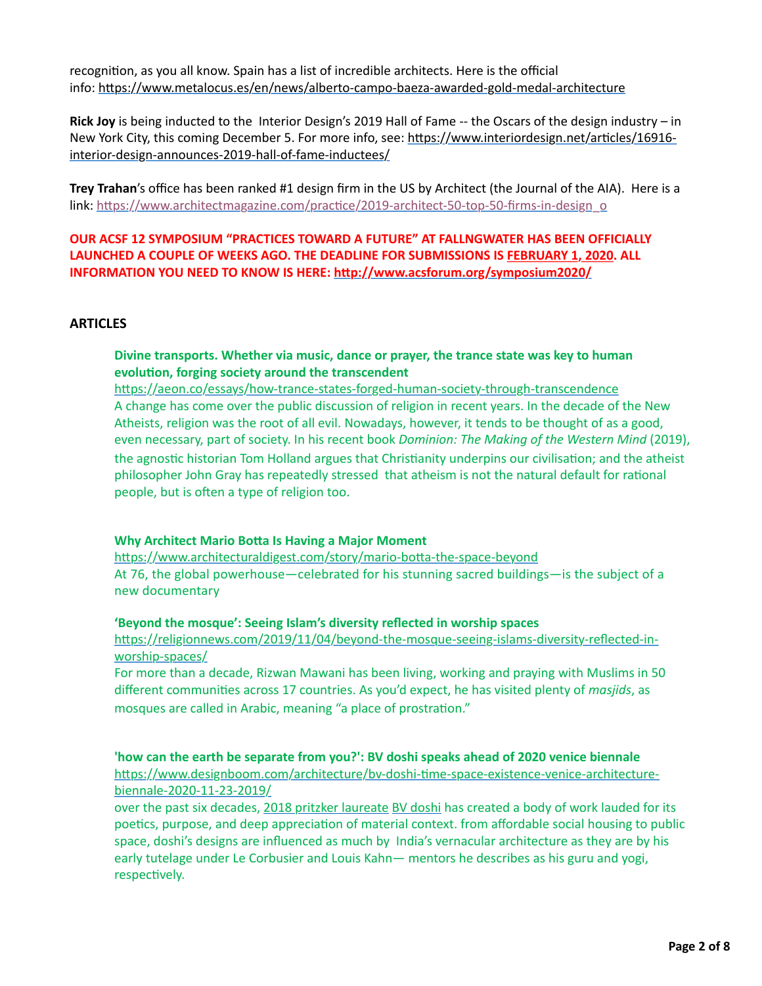recognition, as you all know. Spain has a list of incredible architects. Here is the official info: https://www.metalocus.es/en/news/alberto-campo-baeza-awarded-gold-medal-architecture

**Rick Joy** is being inducted to the Interior Design's 2019 Hall of Fame -- the Oscars of the design industry – in New York City, this coming December 5. For more info, see: https://www.interiordesign.net/articles/16916interior-design-announces-2019-hall-of-fame-inductees/

**Trey Trahan**'s office has been ranked #1 design firm in the US by Architect (the Journal of the AIA). Here is a link: https://www.architectmagazine.com/practice/2019-architect-50-top-50-firms-in-design\_o

**OUR ACSF 12 SYMPOSIUM "PRACTICES TOWARD A FUTURE" AT FALLNGWATER HAS BEEN OFFICIALLY LAUNCHED A COUPLE OF WEEKS AGO. THE DEADLINE FOR SUBMISSIONS IS FEBRUARY 1, 2020. ALL INFORMATION YOU NEED TO KNOW IS HERE:** http://www.acsforum.org/symposium2020/

## **ARTICLES**

# **Divine transports. Whether via music, dance or prayer, the trance state was key to human** evolution, forging society around the transcendent

https://aeon.co/essays/how-trance-states-forged-human-society-through-transcendence A change has come over the public discussion of religion in recent years. In the decade of the New Atheists, religion was the root of all evil. Nowadays, however, it tends to be thought of as a good, even necessary, part of society. In his recent book *Dominion: The Making of the Western Mind* (2019), the agnostic historian Tom Holland argues that Christianity underpins our civilisation; and the atheist philosopher John Gray has repeatedly stressed that atheism is not the natural default for rational people, but is often a type of religion too.

## **Why Architect Mario Botta Is Having a Major Moment**

https://www.architecturaldigest.com/story/mario-botta-the-space-beyond At 76, the global powerhouse—celebrated for his stunning sacred buildings—is the subject of a new documentary

## **'Beyond the mosque': Seeing Islam's diversity reflected in worship spaces**

https://religionnews.com/2019/11/04/beyond-the-mosque-seeing-islams-diversity-reflected-inworship-spaces/

For more than a decade, Rizwan Mawani has been living, working and praying with Muslims in 50 different communities across 17 countries. As you'd expect, he has visited plenty of *masjids*, as mosques are called in Arabic, meaning "a place of prostration."

# **'how can the earth be separate from you?': BV doshi speaks ahead of 2020 venice biennale**

https://www.designboom.com/architecture/bv-doshi-time-space-existence-venice-architecturebiennale-2020-11-23-2019/

over the past six decades, [2018 pritzker laureate](https://www.designboom.com/architecture/balkrishna-doshi-pritzker-prize-03-07-2018/) [BV doshi](https://www.designboom.com/tag/balkrishna-doshi/) has created a body of work lauded for its poetics, purpose, and deep appreciation of material context. from affordable social housing to public space, doshi's designs are influenced as much by India's vernacular architecture as they are by his early tutelage under Le Corbusier and Louis Kahn— mentors he describes as his guru and yogi, respectively.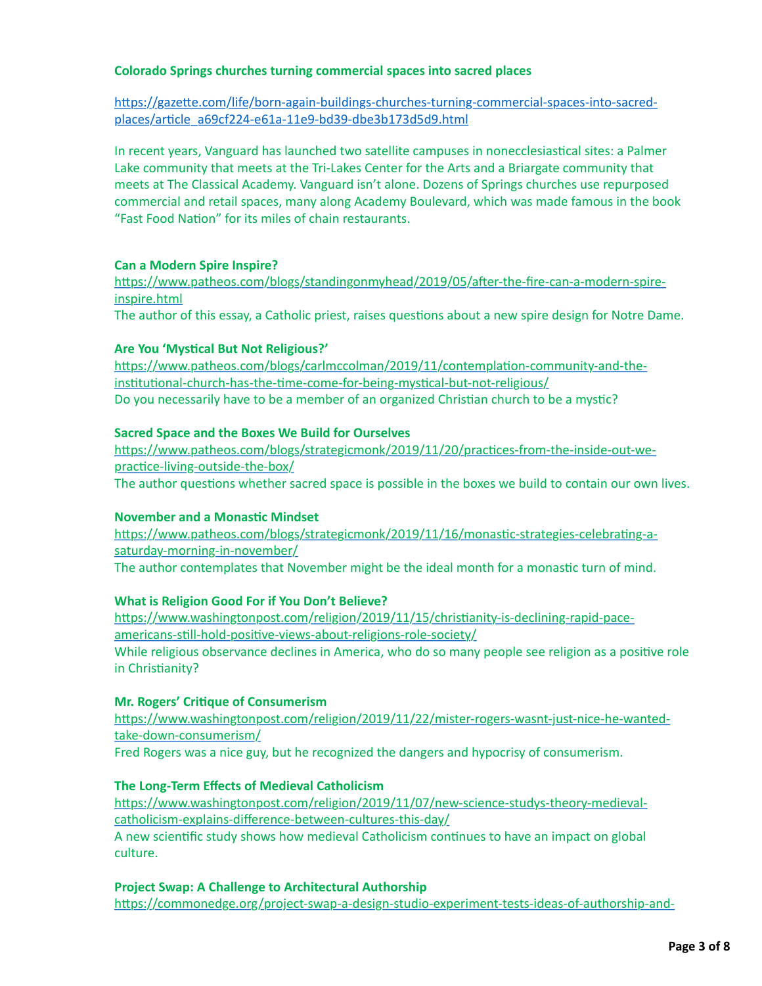## **Colorado Springs churches turning commercial spaces into sacred places**

https://gazette.com/life/born-again-buildings-churches-turning-commercial-spaces-into-sacredplaces/article\_a69cf224-e61a-11e9-bd39-dbe3b173d5d9.html

In recent years, Vanguard has launched two satellite campuses in nonecclesiastical sites: a Palmer Lake community that meets at the Tri-Lakes Center for the Arts and a Briargate community that meets at The Classical Academy. Vanguard isn't alone. Dozens of Springs churches use repurposed commercial and retail spaces, many along Academy Boulevard, which was made famous in the book "Fast Food Nation" for its miles of chain restaurants.

## **Can a Modern Spire Inspire?**

https://www.patheos.com/blogs/standingonmyhead/2019/05/after-the-fire-can-a-modern-spireinspire.html

The author of this essay, a Catholic priest, raises questions about a new spire design for Notre Dame.

## **Are You 'Mystical But Not Religious?'**

https://www.patheos.com/blogs/carlmccolman/2019/11/contemplation-community-and-theinstitutional-church-has-the-time-come-for-being-mystical-but-not-religious/ Do you necessarily have to be a member of an organized Christian church to be a mystic?

## **Sacred Space and the Boxes We Build for Ourselves**

https://www.patheos.com/blogs/strategicmonk/2019/11/20/practices-from-the-inside-out-wepractice-living-outside-the-box/

The author questions whether sacred space is possible in the boxes we build to contain our own lives.

## **November and a Monastic Mindset**

https://www.patheos.com/blogs/strategicmonk/2019/11/16/monastic-strategies-celebrating-asaturday-morning-in-november/ The author contemplates that November might be the ideal month for a monastic turn of mind.

**What is Religion Good For if You Don't Believe?** https://www.washingtonpost.com/religion/2019/11/15/christianity-is-declining-rapid-paceamericans-still-hold-positive-views-about-religions-role-society/ While religious observance declines in America, who do so many people see religion as a positive role in Christianity?

## **Mr. Rogers' Critique of Consumerism**

https://www.washingtonpost.com/religion/2019/11/22/mister-rogers-wasnt-just-nice-he-wantedtake-down-consumerism/

Fred Rogers was a nice guy, but he recognized the dangers and hypocrisy of consumerism.

## **The Long-Term Effects of Medieval Catholicism**

https://www.washingtonpost.com/religion/2019/11/07/new-science-studys-theory-medievalcatholicism-explains-difference-between-cultures-this-day/

A new scientific study shows how medieval Catholicism continues to have an impact on global culture.

## **Project Swap: A Challenge to Architectural Authorship**

https://commonedge.org/project-swap-a-design-studio-experiment-tests-ideas-of-authorship-and-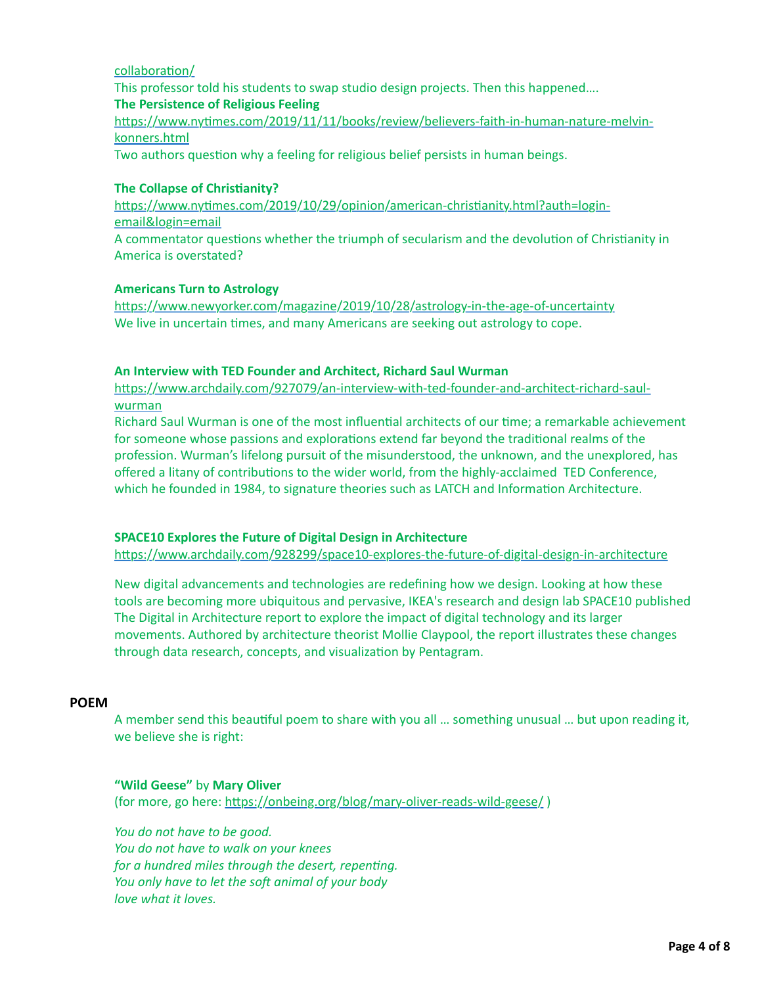## collaboration/

This professor told his students to swap studio design projects. Then this happened…. **The Persistence of Religious Feeling**

https://www.nytimes.com/2019/11/11/books/review/believers-faith-in-human-nature-melvinkonners.html

Two authors question why a feeling for religious belief persists in human beings.

## **The Collapse of Christianity?**

https://www.nytimes.com/2019/10/29/opinion/american-christianity.html?auth=loginemail&login=email

A commentator questions whether the triumph of secularism and the devolution of Christianity in America is overstated?

#### **Americans Turn to Astrology**

https://www.newyorker.com/magazine/2019/10/28/astrology-in-the-age-of-uncertainty We live in uncertain times, and many Americans are seeking out astrology to cope.

#### **An Interview with TED Founder and Architect, Richard Saul Wurman**

https://www.archdaily.com/927079/an-interview-with-ted-founder-and-architect-richard-saulwurman

Richard Saul Wurman is one of the most influential architects of our time; a remarkable achievement for someone whose passions and explorations extend far beyond the traditional realms of the profession. Wurman's lifelong pursuit of the misunderstood, the unknown, and the unexplored, has offered a litany of contributions to the wider world, from the highly-acclaimed TED Conference, which he founded in 1984, to signature theories such as LATCH and Information Architecture.

## **SPACE10 Explores the Future of Digital Design in Architecture**

https://www.archdaily.com/928299/space10-explores-the-future-of-digital-design-in-architecture

New digital advancements and technologies are redefining how we design. Looking at how these tools are becoming more ubiquitous and pervasive, IKEA's research and design lab SPACE10 published The Digital in Architecture report to explore the impact of digital technology and its larger movements. Authored by architecture theorist Mollie Claypool, the report illustrates these changes through data research, concepts, and visualization by Pentagram.

#### **POEM**

A member send this beautiful poem to share with you all ... something unusual ... but upon reading it, we believe she is right:

## **"Wild Geese"** by **Mary Oliver**

(for more, go here: https://onbeing.org/blog/mary-oliver-reads-wild-geese/)

*You do not have to be good. You do not have to walk on your knees for a hundred miles through the desert, repenting. You only have to let the soft animal of your body love what it loves.*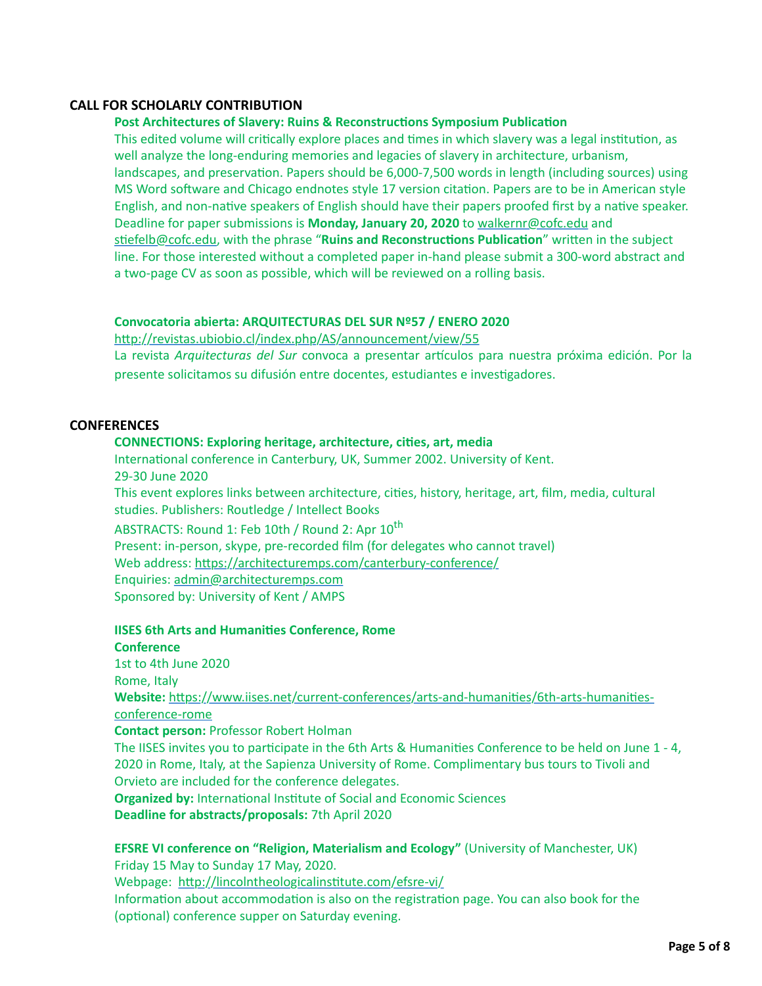# **CALL FOR SCHOLARLY CONTRIBUTION**

## **Post Architectures of Slavery: Ruins & Reconstructions Symposium Publication**

This edited volume will critically explore places and times in which slavery was a legal institution, as well analyze the long-enduring memories and legacies of slavery in architecture, urbanism, landscapes, and preservation. Papers should be 6,000-7,500 words in length (including sources) using MS Word software and Chicago endnotes style 17 version citation. Papers are to be in American style English, and non-native speakers of English should have their papers proofed first by a native speaker. Deadline for paper submissions is **Monday, January 20, 2020** to [walkernr@cofc.edu](mailto:walkernr@cofc.edu) and stiefelb@cofc.edu, with the phrase "Ruins and Reconstructions Publication" written in the subject line. For those interested without a completed paper in-hand please submit a 300-word abstract and a two-page CV as soon as possible, which will be reviewed on a rolling basis.

#### **Convocatoria abierta: ARQUITECTURAS DEL SUR Nº57 / ENERO 2020**

http://revistas.ubiobio.cl/index.php/AS/announcement/view/55

La revista Arquitecturas del Sur convoca a presentar artículos para nuestra próxima edición. Por la presente solicitamos su difusión entre docentes, estudiantes e investigadores.

# **CONFERENCES**

#### **CONNECTIONS: Exploring heritage, architecture, cities, art, media**

International conference in Canterbury, UK, Summer 2002. University of Kent. 29-30 June 2020 This event explores links between architecture, cities, history, heritage, art, film, media, cultural studies. Publishers: Routledge / Intellect Books

ABSTRACTS: Round 1: Feb 10th / Round 2: Apr 10<sup>th</sup> Present: in-person, skype, pre-recorded film (for delegates who cannot travel) Web address: https://architecturemps.com/canterbury-conference/ Enquiries: [admin@architecturemps.com](mailto:admin@architecturemps.com) Sponsored by: University of Kent / AMPS

#### **IISES 6th Arts and Humanities Conference, Rome**

#### **Conference**

1st to 4th June 2020 Rome, Italy Website: https://www.iises.net/current-conferences/arts-and-humanities/6th-arts-humanitiesconference-rome **Contact person:** Professor Robert Holman

The IISES invites you to participate in the 6th Arts & Humanities Conference to be held on June 1 - 4, 2020 in Rome, Italy, at the Sapienza University of Rome. Complimentary bus tours to Tivoli and Orvieto are included for the conference delegates.

**Organized by:** International Institute of Social and Economic Sciences **Deadline for abstracts/proposals:** 7th April 2020

**EFSRE VI conference on "Religion, Materialism and Ecology"** (University of Manchester, UK) Friday 15 May to Sunday 17 May, 2020. Webpage: http://lincolntheologicalinstitute.com/efsre-vi/ Information about accommodation is also on the registration page. You can also book for the (optional) conference supper on Saturday evening.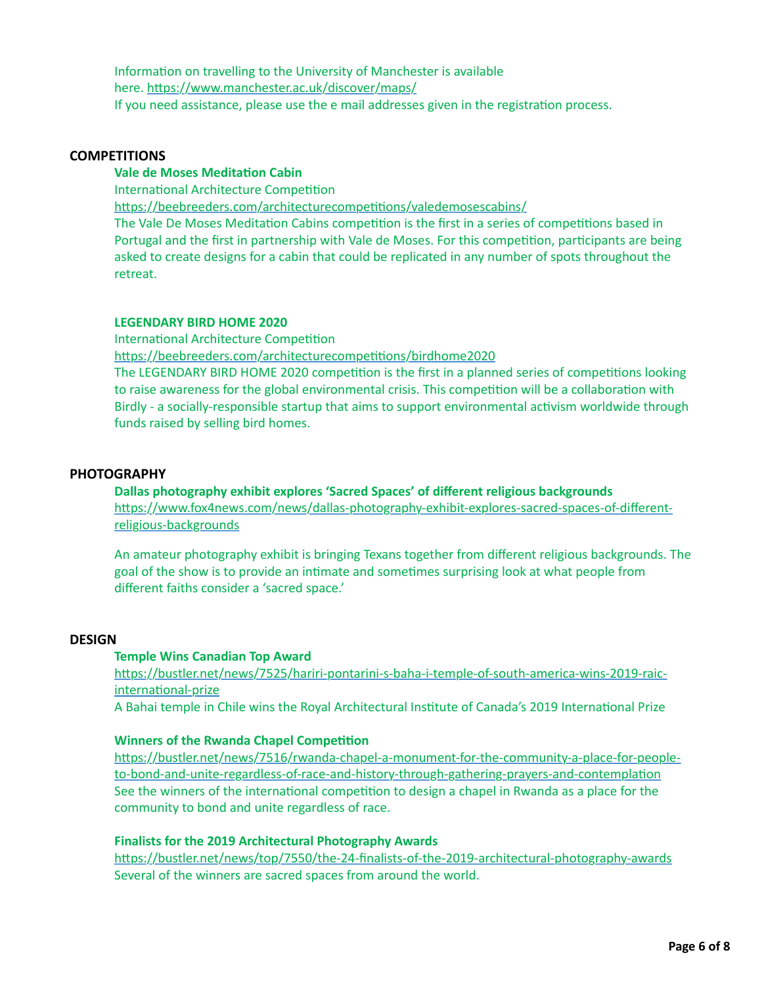Information on travelling to the University of Manchester is available here. https://www.manchester.ac.uk/discover/maps/ If you need assistance, please use the e mail addresses given in the registration process.

#### **COMPETITIONS**

# **Vale de Moses Meditation Cabin**

International Architecture Competition

https://beebreeders.com/architecturecompetitions/valedemosescabins/

The Vale De Moses Meditation Cabins competition is the first in a series of competitions based in Portugal and the first in partnership with Vale de Moses. For this competition, participants are being asked to create designs for a cabin that could be replicated in any number of spots throughout the retreat.

#### **LEGENDARY BIRD HOME 2020**

International Architecture Competition

https://beebreeders.com/architecturecompetitions/birdhome2020

The LEGENDARY BIRD HOME 2020 competition is the first in a planned series of competitions looking to raise awareness for the global environmental crisis. This competition will be a collaboration with Birdly - a socially-responsible startup that aims to support environmental activism worldwide through funds raised by selling bird homes.

## **PHOTOGRAPHY**

**Dallas photography exhibit explores 'Sacred Spaces' of different religious backgrounds** https://www.fox4news.com/news/dallas-photography-exhibit-explores-sacred-spaces-of-differentreligious-backgrounds

An amateur photography exhibit is bringing Texans together from different religious backgrounds. The goal of the show is to provide an intimate and sometimes surprising look at what people from different faiths consider a 'sacred space.'

## **DESIGN**

## **Temple Wins Canadian Top Award**

https://bustler.net/news/7525/hariri-pontarini-s-baha-i-temple-of-south-america-wins-2019-raicinternational-prize

A Bahai temple in Chile wins the Royal Architectural Institute of Canada's 2019 International Prize

#### **Winners of the Rwanda Chapel Competition**

https://bustler.net/news/7516/rwanda-chapel-a-monument-for-the-community-a-place-for-peopleto-bond-and-unite-regardless-of-race-and-history-through-gathering-prayers-and-contemplation See the winners of the international competition to design a chapel in Rwanda as a place for the community to bond and unite regardless of race.

## **Finalists for the 2019 Architectural Photography Awards**

https://bustler.net/news/top/7550/the-24-finalists-of-the-2019-architectural-photography-awards Several of the winners are sacred spaces from around the world.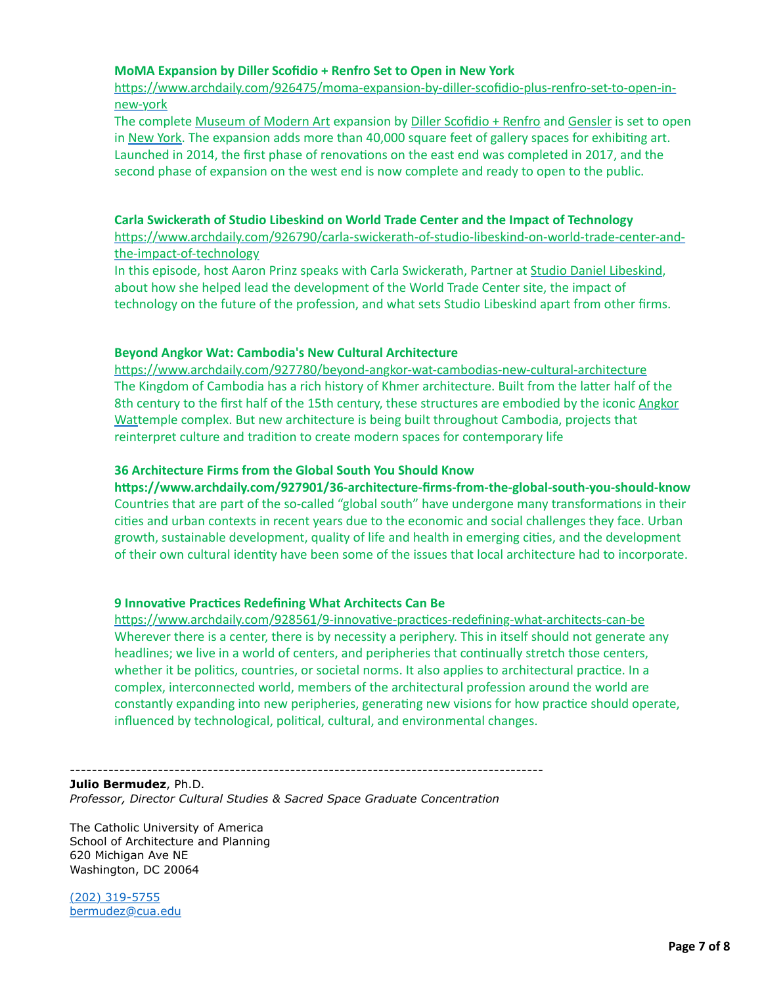## **MoMA Expansion by Diller Scofidio + Renfro Set to Open in New York**

https://www.archdaily.com/926475/moma-expansion-by-diller-scofidio-plus-renfro-set-to-open-innew-york

The complete [Museum of Modern Art](https://dsrny.com/project/the-museum-of-modern-art?index=false§ion=projects&utm_medium=website&utm_source=archdaily.com) expansion by [Diller Scofidio + Renfro](https://www.archdaily.com/office/diller-scofidio-plus-renfro) and [Gensler](https://www.archdaily.com/office/gensler) is set to open in [New York](https://www.archdaily.com/tag/new-york-city). The expansion adds more than 40,000 square feet of gallery spaces for exhibiting art. Launched in 2014, the first phase of renovations on the east end was completed in 2017, and the second phase of expansion on the west end is now complete and ready to open to the public.

#### **Carla Swickerath of Studio Libeskind on World Trade Center and the Impact of Technology**

https://www.archdaily.com/926790/carla-swickerath-of-studio-libeskind-on-world-trade-center-andthe-impact-of-technology

In this episode, host Aaron Prinz speaks with Carla Swickerath, Partner at [Studio Daniel Libeskind](https://www.archdaily.com/tag/studio-daniel-libeskind), about how she helped lead the development of the World Trade Center site, the impact of technology on the future of the profession, and what sets Studio Libeskind apart from other firms.

#### **Beyond Angkor Wat: Cambodia's New Cultural Architecture**

https://www.archdaily.com/927780/beyond-angkor-wat-cambodias-new-cultural-architecture The Kingdom of Cambodia has a rich history of Khmer architecture. Built from the latter half of the 8th century to the first half of the 15th century, these structures are embodied by the iconic Angkor [Wattemple complex. But new architecture is being built throughout Cambodia, projects that](https://www.archdaily.com/101004/ad-classics-angkor-wat) reinterpret culture and tradition to create modern spaces for contemporary life

#### **36 Architecture Firms from the Global South You Should Know**

**hEps://www.archdaily.com/927901/36-architecture-firms-from-the-global-south-you-should-know** Countries that are part of the so-called "global south" have undergone many transformations in their cities and urban contexts in recent years due to the economic and social challenges they face. Urban growth, sustainable development, quality of life and health in emerging cities, and the development of their own cultural identity have been some of the issues that local architecture had to incorporate.

## **9 Innovative Practices Redefining What Architects Can Be**

https://www.archdaily.com/928561/9-innovative-practices-redefining-what-architects-can-be Wherever there is a center, there is by necessity a periphery. This in itself should not generate any headlines; we live in a world of centers, and peripheries that continually stretch those centers, whether it be politics, countries, or societal norms. It also applies to architectural practice. In a complex, interconnected world, members of the architectural profession around the world are constantly expanding into new peripheries, generating new visions for how practice should operate, influenced by technological, political, cultural, and environmental changes.

--------------------------------------------------------------------------------------

**Julio Bermudez**, Ph.D. *Professor, Director Cultural Studies & Sacred Space Graduate Concentration*

The Catholic University of America School of Architecture and Planning 620 Michigan Ave NE Washington, DC 20064

[\(202\) 319-5755](tel:(202)%20319-5755) [bermudez@cua.edu](http://bermudez@cua.edu/)